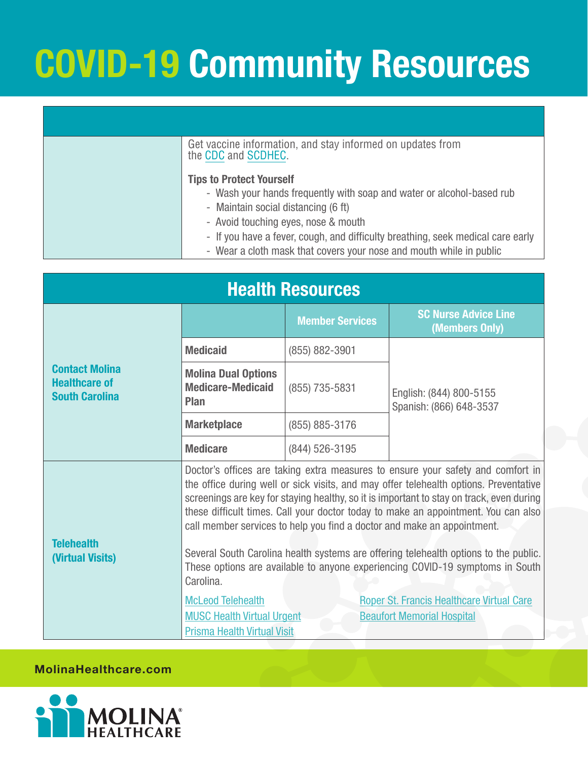# **COVID-19 Community Resources**

|  | Get vaccine information, and stay informed on updates from<br>the CDC and SCDHEC.                                                                                                             |
|--|-----------------------------------------------------------------------------------------------------------------------------------------------------------------------------------------------|
|  | <b>Tips to Protect Yourself</b><br>- Wash your hands frequently with soap and water or alcohol-based rub<br>- Maintain social distancing (6 ft)                                               |
|  | - Avoid touching eyes, nose & mouth<br>- If you have a fever, cough, and difficulty breathing, seek medical care early<br>- Wear a cloth mask that covers your nose and mouth while in public |

| <b>Health Resources</b>                                                |                                                                                                                                                                                                                                                                                                                                                                                                                                                                                                                                                                                                                             |                        |                                                                                       |  |
|------------------------------------------------------------------------|-----------------------------------------------------------------------------------------------------------------------------------------------------------------------------------------------------------------------------------------------------------------------------------------------------------------------------------------------------------------------------------------------------------------------------------------------------------------------------------------------------------------------------------------------------------------------------------------------------------------------------|------------------------|---------------------------------------------------------------------------------------|--|
|                                                                        |                                                                                                                                                                                                                                                                                                                                                                                                                                                                                                                                                                                                                             | <b>Member Services</b> | <b>SC Nurse Advice Line</b><br>(Members Only)                                         |  |
|                                                                        | <b>Medicaid</b>                                                                                                                                                                                                                                                                                                                                                                                                                                                                                                                                                                                                             | (855) 882-3901         |                                                                                       |  |
| <b>Contact Molina</b><br><b>Healthcare of</b><br><b>South Carolina</b> | <b>Molina Dual Options</b><br><b>Medicare-Medicaid</b><br><b>Plan</b>                                                                                                                                                                                                                                                                                                                                                                                                                                                                                                                                                       | (855) 735-5831         | English: (844) 800-5155<br>Spanish: (866) 648-3537                                    |  |
|                                                                        | <b>Marketplace</b>                                                                                                                                                                                                                                                                                                                                                                                                                                                                                                                                                                                                          | (855) 885-3176         |                                                                                       |  |
|                                                                        | <b>Medicare</b>                                                                                                                                                                                                                                                                                                                                                                                                                                                                                                                                                                                                             | (844) 526-3195         |                                                                                       |  |
| <b>Telehealth</b><br>(Virtual Visits)                                  | Doctor's offices are taking extra measures to ensure your safety and comfort in<br>the office during well or sick visits, and may offer telehealth options. Preventative<br>screenings are key for staying healthy, so it is important to stay on track, even during<br>these difficult times. Call your doctor today to make an appointment. You can also<br>call member services to help you find a doctor and make an appointment.<br>Several South Carolina health systems are offering telehealth options to the public.<br>These options are available to anyone experiencing COVID-19 symptoms in South<br>Carolina. |                        |                                                                                       |  |
|                                                                        | <b>McLeod Telehealth</b><br><b>MUSC Health Virtual Urgent</b><br><b>Prisma Health Virtual Visit</b>                                                                                                                                                                                                                                                                                                                                                                                                                                                                                                                         |                        | <b>Roper St. Francis Healthcare Virtual Care</b><br><b>Beaufort Memorial Hospital</b> |  |

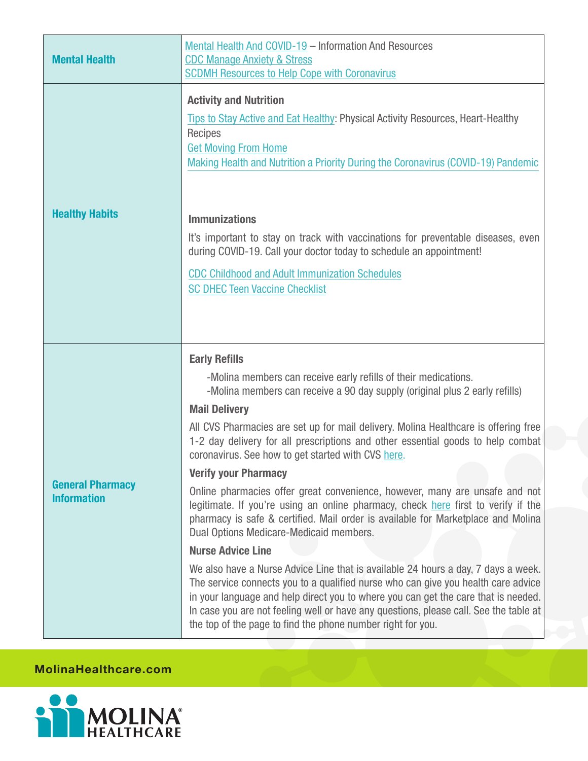|                                               | Mental Health And COVID-19 - Information And Resources                                                                                                                                                                                                                                                                                                                                                                                                                                                                                                                                                                                                                                                                                                                                                                                                                                                                                                                                                                                                                                                                                                                                                               |  |  |  |
|-----------------------------------------------|----------------------------------------------------------------------------------------------------------------------------------------------------------------------------------------------------------------------------------------------------------------------------------------------------------------------------------------------------------------------------------------------------------------------------------------------------------------------------------------------------------------------------------------------------------------------------------------------------------------------------------------------------------------------------------------------------------------------------------------------------------------------------------------------------------------------------------------------------------------------------------------------------------------------------------------------------------------------------------------------------------------------------------------------------------------------------------------------------------------------------------------------------------------------------------------------------------------------|--|--|--|
| <b>Mental Health</b>                          | <b>CDC Manage Anxiety &amp; Stress</b><br><b>SCDMH Resources to Help Cope with Coronavirus</b>                                                                                                                                                                                                                                                                                                                                                                                                                                                                                                                                                                                                                                                                                                                                                                                                                                                                                                                                                                                                                                                                                                                       |  |  |  |
| <b>Healthy Habits</b>                         | <b>Activity and Nutrition</b><br>Tips to Stay Active and Eat Healthy: Physical Activity Resources, Heart-Healthy<br><b>Recipes</b><br><b>Get Moving From Home</b><br>Making Health and Nutrition a Priority During the Coronavirus (COVID-19) Pandemic<br><b>Immunizations</b><br>It's important to stay on track with vaccinations for preventable diseases, even<br>during COVID-19. Call your doctor today to schedule an appointment!<br><b>CDC Childhood and Adult Immunization Schedules</b><br><b>SC DHEC Teen Vaccine Checklist</b>                                                                                                                                                                                                                                                                                                                                                                                                                                                                                                                                                                                                                                                                          |  |  |  |
| <b>General Pharmacy</b><br><b>Information</b> | <b>Early Refills</b><br>-Molina members can receive early refills of their medications.<br>-Molina members can receive a 90 day supply (original plus 2 early refills)<br><b>Mail Delivery</b><br>All CVS Pharmacies are set up for mail delivery. Molina Healthcare is offering free<br>1-2 day delivery for all prescriptions and other essential goods to help combat<br>coronavirus. See how to get started with CVS here.<br><b>Verify your Pharmacy</b><br>Online pharmacies offer great convenience, however, many are unsafe and not<br>legitimate. If you're using an online pharmacy, check here first to verify if the<br>pharmacy is safe & certified. Mail order is available for Marketplace and Molina<br>Dual Options Medicare-Medicaid members.<br><b>Nurse Advice Line</b><br>We also have a Nurse Advice Line that is available 24 hours a day, 7 days a week.<br>The service connects you to a qualified nurse who can give you health care advice<br>in your language and help direct you to where you can get the care that is needed.<br>In case you are not feeling well or have any questions, please call. See the table at<br>the top of the page to find the phone number right for you. |  |  |  |

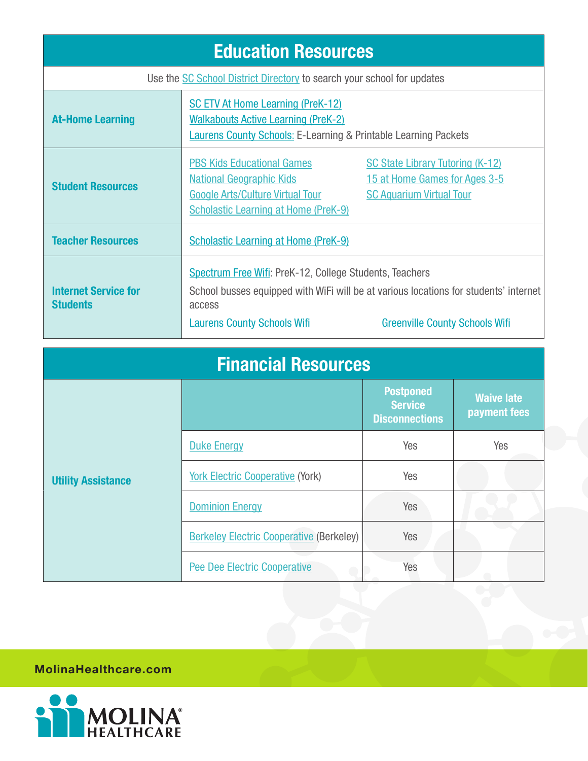| <b>Education Resources</b>                                             |                                                                                                                                                                                                                                          |                                                                                                             |  |
|------------------------------------------------------------------------|------------------------------------------------------------------------------------------------------------------------------------------------------------------------------------------------------------------------------------------|-------------------------------------------------------------------------------------------------------------|--|
| Use the SC School District Directory to search your school for updates |                                                                                                                                                                                                                                          |                                                                                                             |  |
| <b>At-Home Learning</b>                                                | <b>SC ETV At Home Learning (PreK-12)</b><br><b>Walkabouts Active Learning (PreK-2)</b><br><b>Laurens County Schools: E-Learning &amp; Printable Learning Packets</b>                                                                     |                                                                                                             |  |
| <b>Student Resources</b>                                               | <b>PBS Kids Educational Games</b><br><b>National Geographic Kids</b><br><b>Google Arts/Culture Virtual Tour</b><br><b>Scholastic Learning at Home (PreK-9)</b>                                                                           | <b>SC State Library Tutoring (K-12)</b><br>15 at Home Games for Ages 3-5<br><b>SC Aquarium Virtual Tour</b> |  |
| <b>Teacher Resources</b>                                               | <b>Scholastic Learning at Home (PreK-9)</b>                                                                                                                                                                                              |                                                                                                             |  |
| <b>Internet Service for</b><br><b>Students</b>                         | Spectrum Free Wifi: PreK-12, College Students, Teachers<br>School busses equipped with WiFi will be at various locations for students' internet<br>access<br><b>Laurens County Schools Wifi</b><br><b>Greenville County Schools Wifi</b> |                                                                                                             |  |

| <b>Financial Resources</b> |                                                 |                                                             |                                   |  |
|----------------------------|-------------------------------------------------|-------------------------------------------------------------|-----------------------------------|--|
|                            |                                                 | <b>Postponed</b><br><b>Service</b><br><b>Disconnections</b> | <b>Waive late</b><br>payment fees |  |
|                            | <b>Duke Energy</b>                              | Yes                                                         | Yes                               |  |
| <b>Utility Assistance</b>  | <b>York Electric Cooperative (York)</b>         | Yes                                                         |                                   |  |
|                            | <b>Dominion Energy</b>                          | Yes                                                         |                                   |  |
|                            | <b>Berkeley Electric Cooperative (Berkeley)</b> | Yes                                                         |                                   |  |
|                            | <b>Pee Dee Electric Cooperative</b>             | Yes                                                         |                                   |  |